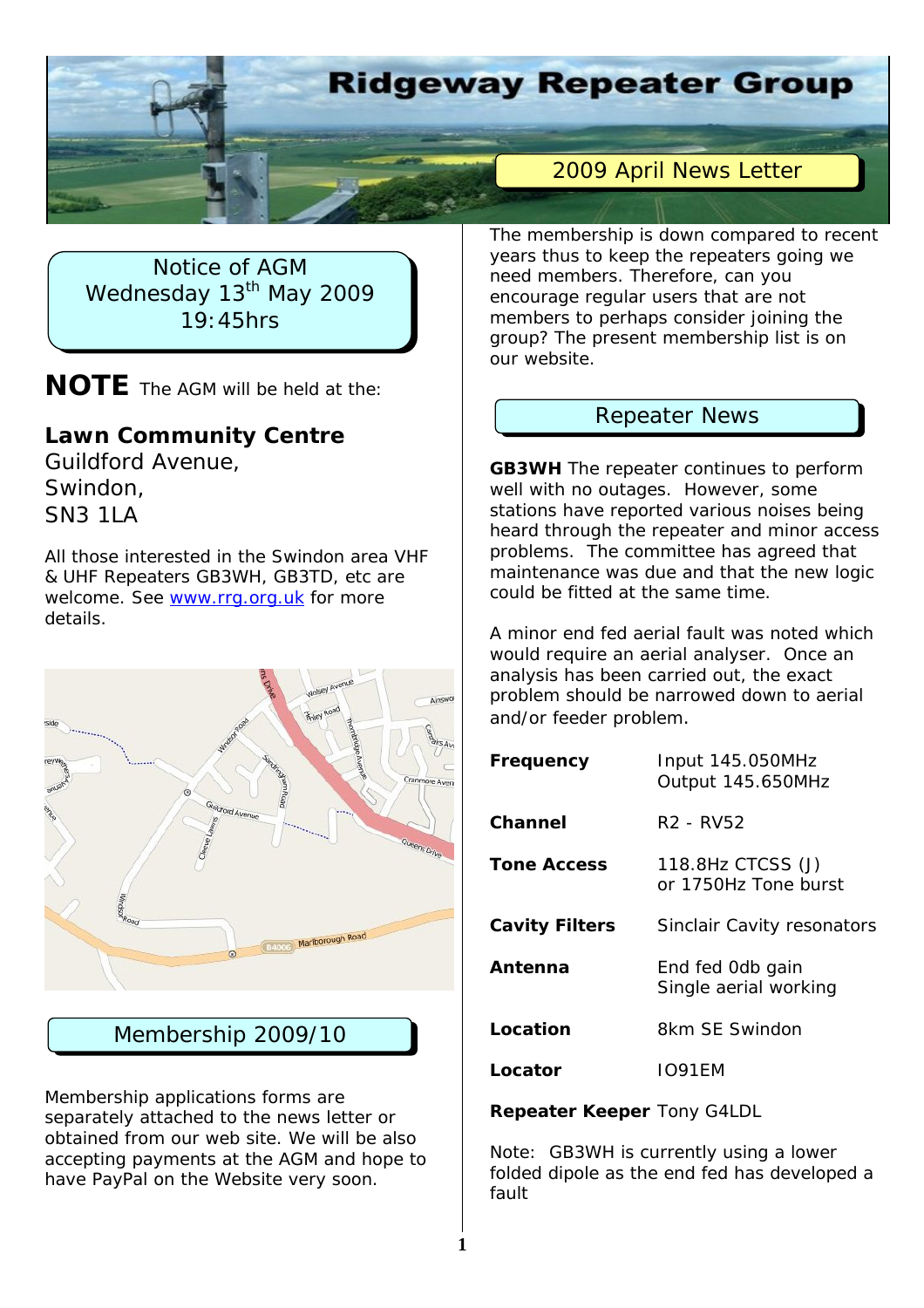

Notice of AGM Wednesday 13<sup>th</sup> May 2009 19:45hrs

**NOTE** The AGM will be held at the:

# **Lawn Community Centre**

Guildford Avenue, Swindon, SN3 1LA

All those interested in the Swindon area VHF & UHF Repeaters GB3WH, GB3TD, etc are welcome. See www.rrg.org.uk for more details.



# Membership 2009/10

Membership applications forms are separately attached to the news letter or obtained from our web site. We will be also accepting payments at the AGM and hope to have PayPal on the Website very soon.

The membership is down compared to recent years thus to keep the repeaters going we need members. Therefore, can you encourage regular users that are not members to perhaps consider joining the group? The present membership list is on our website.

# Repeater News

**GB3WH** The repeater continues to perform well with no outages. However, some stations have reported various noises being heard through the repeater and minor access problems. The committee has agreed that maintenance was due and that the new logic could be fitted at the same time.

A minor end fed aerial fault was noted which would require an aerial analyser. Once an analysis has been carried out, the exact problem should be narrowed down to aerial and/or feeder problem.

| Frequency             | Input 145.050MHz<br>Output 145.650MHz     |
|-----------------------|-------------------------------------------|
| Channel               | R <sub>2</sub> - RV <sub>52</sub>         |
| <b>Tone Access</b>    | 118.8Hz CTCSS (J)<br>or 1750Hz Tone burst |
| <b>Cavity Filters</b> | Sinclair Cavity resonators                |
| Antenna               | End fed Odb gain<br>Single aerial working |
| Location              | 8km SF Swindon                            |
| Locator               | IO91FM                                    |

**Repeater Keeper** Tony G4LDL

Note: GB3WH is currently using a lower folded dipole as the end fed has developed a fault